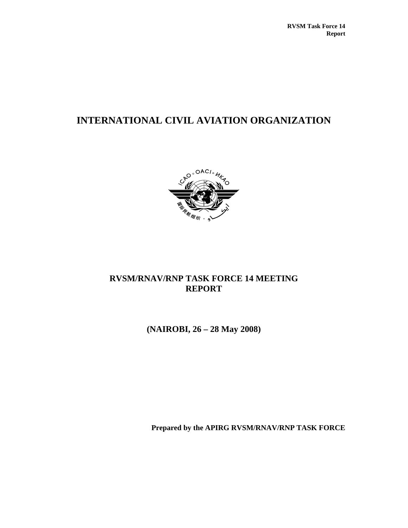# **INTERNATIONAL CIVIL AVIATION ORGANIZATION**



# **RVSM/RNAV/RNP TASK FORCE 14 MEETING REPORT**

**(NAIROBI, 26 – 28 May 2008)** 

**Prepared by the APIRG RVSM/RNAV/RNP TASK FORCE**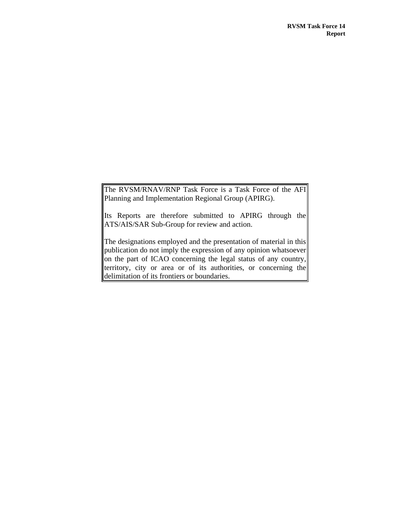The RVSM/RNAV/RNP Task Force is a Task Force of the AFI Planning and Implementation Regional Group (APIRG).

Its Reports are therefore submitted to APIRG through the ATS/AIS/SAR Sub-Group for review and action.

The designations employed and the presentation of material in this publication do not imply the expression of any opinion whatsoever on the part of ICAO concerning the legal status of any country, territory, city or area or of its authorities, or concerning the delimitation of its frontiers or boundaries.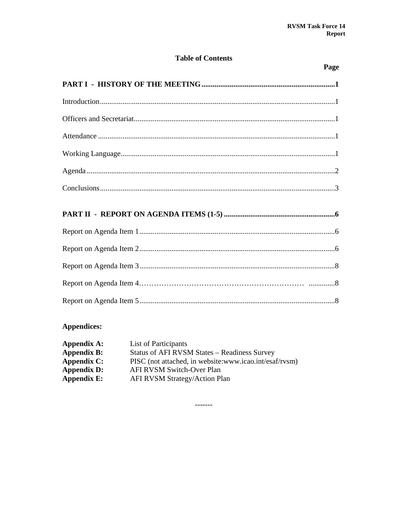# **Table of Contents**

# Page

# Appendices:

| Appendix A:        | List of Participants                                   |
|--------------------|--------------------------------------------------------|
| <b>Appendix B:</b> | Status of AFI RVSM States - Readiness Survey           |
| Appendix C:        | PISC (not attached, in website:www.icao.int/esaf/rvsm) |
| <b>Appendix D:</b> | AFI RVSM Switch-Over Plan                              |
| Appendix E:        | AFI RVSM Strategy/Action Plan                          |

 $-----$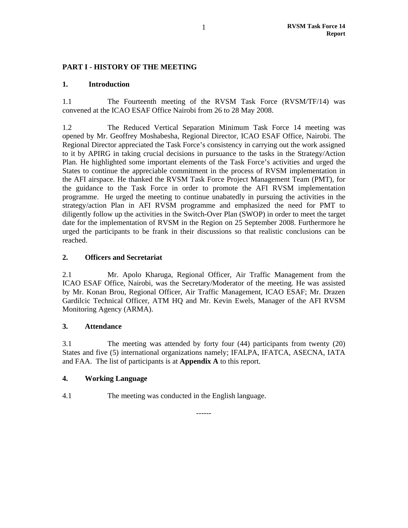# **PART I - HISTORY OF THE MEETING**

#### **1. Introduction**

1.1 The Fourteenth meeting of the RVSM Task Force (RVSM/TF/14) was convened at the ICAO ESAF Office Nairobi from 26 to 28 May 2008.

1.2 The Reduced Vertical Separation Minimum Task Force 14 meeting was opened by Mr. Geoffrey Moshabesha, Regional Director, ICAO ESAF Office, Nairobi. The Regional Director appreciated the Task Force's consistency in carrying out the work assigned to it by APIRG in taking crucial decisions in pursuance to the tasks in the Strategy/Action Plan. He highlighted some important elements of the Task Force's activities and urged the States to continue the appreciable commitment in the process of RVSM implementation in the AFI airspace. He thanked the RVSM Task Force Project Management Team (PMT), for the guidance to the Task Force in order to promote the AFI RVSM implementation programme. He urged the meeting to continue unabatedly in pursuing the activities in the strategy/action Plan in AFI RVSM programme and emphasized the need for PMT to diligently follow up the activities in the Switch-Over Plan (SWOP) in order to meet the target date for the implementation of RVSM in the Region on 25 September 2008. Furthermore he urged the participants to be frank in their discussions so that realistic conclusions can be reached.

## **2. Officers and Secretariat**

2.1 Mr. Apolo Kharuga, Regional Officer, Air Traffic Management from the ICAO ESAF Office, Nairobi, was the Secretary/Moderator of the meeting. He was assisted by Mr. Konan Brou, Regional Officer, Air Traffic Management, ICAO ESAF; Mr. Drazen Gardilcic Technical Officer, ATM HQ and Mr. Kevin Ewels, Manager of the AFI RVSM Monitoring Agency (ARMA).

#### **3. Attendance**

3.1 The meeting was attended by forty four (44) participants from twenty (20) States and five (5) international organizations namely; IFALPA, IFATCA, ASECNA, IATA and FAA. The list of participants is at **Appendix A** to this report.

------

#### **4. Working Language**

4.1 The meeting was conducted in the English language.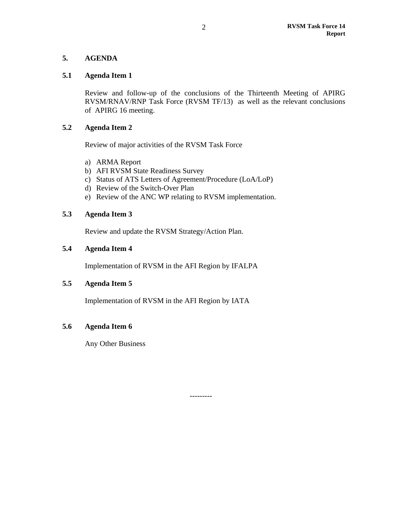# **5. AGENDA**

#### **5.1 Agenda Item 1**

Review and follow-up of the conclusions of the Thirteenth Meeting of APIRG RVSM/RNAV/RNP Task Force (RVSM TF/13) as well as the relevant conclusions of APIRG 16 meeting.

## **5.2 Agenda Item 2**

Review of major activities of the RVSM Task Force

- a) ARMA Report
- b) AFI RVSM State Readiness Survey
- c) Status of ATS Letters of Agreement/Procedure (LoA/LoP)
- d) Review of the Switch-Over Plan
- e) Review of the ANC WP relating to RVSM implementation.

# **5.3 Agenda Item 3**

Review and update the RVSM Strategy/Action Plan.

## **5.4 Agenda Item 4**

Implementation of RVSM in the AFI Region by IFALPA

## **5.5 Agenda Item 5**

Implementation of RVSM in the AFI Region by IATA

# **5.6 Agenda Item 6**

Any Other Business

---------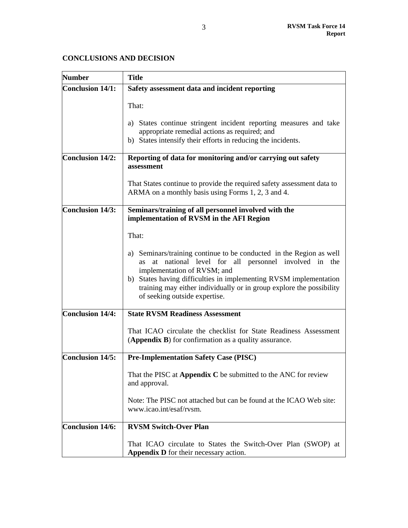# **CONCLUSIONS AND DECISION**

| <b>Number</b>           | <b>Title</b>                                                                                                                                                                                                                                                                                                                                         |
|-------------------------|------------------------------------------------------------------------------------------------------------------------------------------------------------------------------------------------------------------------------------------------------------------------------------------------------------------------------------------------------|
| <b>Conclusion 14/1:</b> | Safety assessment data and incident reporting                                                                                                                                                                                                                                                                                                        |
|                         | That:<br>States continue stringent incident reporting measures and take<br>a)<br>appropriate remedial actions as required; and<br>b) States intensify their efforts in reducing the incidents.                                                                                                                                                       |
|                         |                                                                                                                                                                                                                                                                                                                                                      |
| Conclusion 14/2:        | Reporting of data for monitoring and/or carrying out safety<br>assessment                                                                                                                                                                                                                                                                            |
|                         | That States continue to provide the required safety assessment data to<br>ARMA on a monthly basis using Forms 1, 2, 3 and 4.                                                                                                                                                                                                                         |
| Conclusion 14/3:        | Seminars/training of all personnel involved with the<br>implementation of RVSM in the AFI Region                                                                                                                                                                                                                                                     |
|                         | That:                                                                                                                                                                                                                                                                                                                                                |
|                         | a) Seminars/training continue to be conducted in the Region as well<br>at national level for all personnel involved in the<br><b>as</b><br>implementation of RVSM; and<br>b) States having difficulties in implementing RVSM implementation<br>training may either individually or in group explore the possibility<br>of seeking outside expertise. |
| <b>Conclusion 14/4:</b> | <b>State RVSM Readiness Assessment</b>                                                                                                                                                                                                                                                                                                               |
|                         | That ICAO circulate the checklist for State Readiness Assessment<br>(Appendix B) for confirmation as a quality assurance.                                                                                                                                                                                                                            |
| <b>Conclusion 14/5:</b> | <b>Pre-Implementation Safety Case (PISC)</b>                                                                                                                                                                                                                                                                                                         |
|                         | That the PISC at Appendix C be submitted to the ANC for review<br>and approval.                                                                                                                                                                                                                                                                      |
|                         | Note: The PISC not attached but can be found at the ICAO Web site:<br>www.icao.int/esaf/rvsm.                                                                                                                                                                                                                                                        |
| <b>Conclusion 14/6:</b> | <b>RVSM Switch-Over Plan</b>                                                                                                                                                                                                                                                                                                                         |
|                         | That ICAO circulate to States the Switch-Over Plan (SWOP) at<br><b>Appendix D</b> for their necessary action.                                                                                                                                                                                                                                        |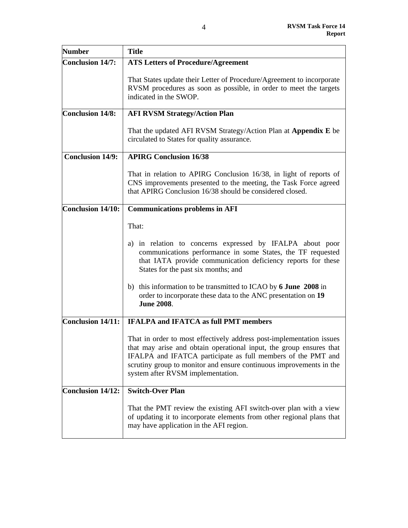| <b>Number</b>            | <b>Title</b>                                                                                                                                                                                                                                                                                                                                                                                         |
|--------------------------|------------------------------------------------------------------------------------------------------------------------------------------------------------------------------------------------------------------------------------------------------------------------------------------------------------------------------------------------------------------------------------------------------|
| <b>Conclusion 14/7:</b>  | <b>ATS Letters of Procedure/Agreement</b>                                                                                                                                                                                                                                                                                                                                                            |
|                          | That States update their Letter of Procedure/Agreement to incorporate<br>RVSM procedures as soon as possible, in order to meet the targets<br>indicated in the SWOP.                                                                                                                                                                                                                                 |
| <b>Conclusion 14/8:</b>  | <b>AFI RVSM Strategy/Action Plan</b>                                                                                                                                                                                                                                                                                                                                                                 |
|                          | That the updated AFI RVSM Strategy/Action Plan at Appendix E be<br>circulated to States for quality assurance.                                                                                                                                                                                                                                                                                       |
| <b>Conclusion 14/9:</b>  | <b>APIRG Conclusion 16/38</b>                                                                                                                                                                                                                                                                                                                                                                        |
|                          | That in relation to APIRG Conclusion 16/38, in light of reports of<br>CNS improvements presented to the meeting, the Task Force agreed<br>that APIRG Conclusion 16/38 should be considered closed.                                                                                                                                                                                                   |
| Conclusion $14/10$ :     | <b>Communications problems in AFI</b>                                                                                                                                                                                                                                                                                                                                                                |
|                          | That:<br>in relation to concerns expressed by IFALPA about poor<br>a)<br>communications performance in some States, the TF requested<br>that IATA provide communication deficiency reports for these<br>States for the past six months; and<br>b) this information to be transmitted to ICAO by 6 June 2008 in<br>order to incorporate these data to the ANC presentation on 19<br><b>June 2008.</b> |
| <b>Conclusion 14/11:</b> | <b>IFALPA and IFATCA as full PMT members</b>                                                                                                                                                                                                                                                                                                                                                         |
|                          | That in order to most effectively address post-implementation issues<br>that may arise and obtain operational input, the group ensures that<br>IFALPA and IFATCA participate as full members of the PMT and<br>scrutiny group to monitor and ensure continuous improvements in the<br>system after RVSM implementation.                                                                              |
| <b>Conclusion 14/12:</b> | <b>Switch-Over Plan</b>                                                                                                                                                                                                                                                                                                                                                                              |
|                          | That the PMT review the existing AFI switch-over plan with a view<br>of updating it to incorporate elements from other regional plans that<br>may have application in the AFI region.                                                                                                                                                                                                                |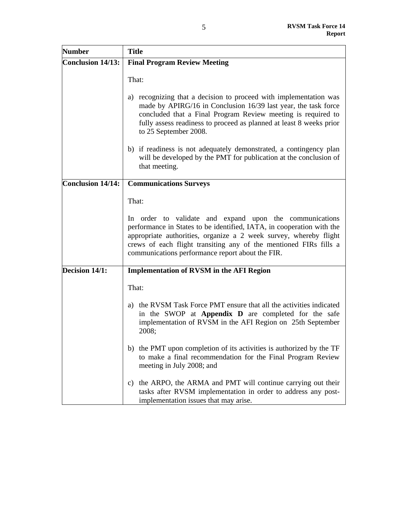| <b>Number</b>     | <b>Title</b>                                                                                                                                                                                                                                                                                                                   |
|-------------------|--------------------------------------------------------------------------------------------------------------------------------------------------------------------------------------------------------------------------------------------------------------------------------------------------------------------------------|
| Conclusion 14/13: | <b>Final Program Review Meeting</b>                                                                                                                                                                                                                                                                                            |
|                   | That:                                                                                                                                                                                                                                                                                                                          |
|                   | recognizing that a decision to proceed with implementation was<br>a)<br>made by APIRG/16 in Conclusion 16/39 last year, the task force<br>concluded that a Final Program Review meeting is required to<br>fully assess readiness to proceed as planned at least 8 weeks prior<br>to 25 September 2008.                         |
|                   | b) if readiness is not adequately demonstrated, a contingency plan<br>will be developed by the PMT for publication at the conclusion of<br>that meeting.                                                                                                                                                                       |
| Conclusion 14/14: | <b>Communications Surveys</b>                                                                                                                                                                                                                                                                                                  |
|                   | That:                                                                                                                                                                                                                                                                                                                          |
|                   | In order to validate and expand upon the communications<br>performance in States to be identified, IATA, in cooperation with the<br>appropriate authorities, organize a 2 week survey, whereby flight<br>crews of each flight transiting any of the mentioned FIRs fills a<br>communications performance report about the FIR. |
| Decision 14/1:    | <b>Implementation of RVSM in the AFI Region</b>                                                                                                                                                                                                                                                                                |
|                   | That:                                                                                                                                                                                                                                                                                                                          |
|                   | the RVSM Task Force PMT ensure that all the activities indicated<br>a)<br>in the SWOP at Appendix D are completed for the safe<br>implementation of RVSM in the AFI Region on 25th September<br>2008;                                                                                                                          |
|                   | the PMT upon completion of its activities is authorized by the TF<br>b)<br>to make a final recommendation for the Final Program Review<br>meeting in July 2008; and                                                                                                                                                            |
|                   | the ARPO, the ARMA and PMT will continue carrying out their<br>C)<br>tasks after RVSM implementation in order to address any post-<br>implementation issues that may arise.                                                                                                                                                    |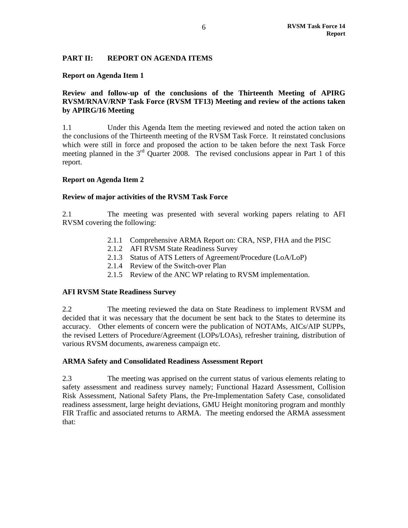## **PART II: REPORT ON AGENDA ITEMS**

#### **Report on Agenda Item 1**

## **Review and follow-up of the conclusions of the Thirteenth Meeting of APIRG RVSM/RNAV/RNP Task Force (RVSM TF13) Meeting and review of the actions taken by APIRG/16 Meeting**

1.1 Under this Agenda Item the meeting reviewed and noted the action taken on the conclusions of the Thirteenth meeting of the RVSM Task Force. It reinstated conclusions which were still in force and proposed the action to be taken before the next Task Force meeting planned in the  $3<sup>rd</sup>$  Quarter 2008. The revised conclusions appear in Part 1 of this report.

#### **Report on Agenda Item 2**

#### **Review of major activities of the RVSM Task Force**

2.1 The meeting was presented with several working papers relating to AFI RVSM covering the following:

- 2.1.1 Comprehensive ARMA Report on: CRA, NSP, FHA and the PISC
- 2.1.2 AFI RVSM State Readiness Survey
- 2.1.3 Status of ATS Letters of Agreement/Procedure (LoA/LoP)
- 2.1.4 Review of the Switch-over Plan
- 2.1.5 Review of the ANC WP relating to RVSM implementation.

#### **AFI RVSM State Readiness Survey**

2.2 The meeting reviewed the data on State Readiness to implement RVSM and decided that it was necessary that the document be sent back to the States to determine its accuracy. Other elements of concern were the publication of NOTAMs, AICs/AIP SUPPs, the revised Letters of Procedure/Agreement (LOPs/LOAs), refresher training, distribution of various RVSM documents, awareness campaign etc.

#### **ARMA Safety and Consolidated Readiness Assessment Report**

2.3 The meeting was apprised on the current status of various elements relating to safety assessment and readiness survey namely; Functional Hazard Assessment, Collision Risk Assessment, National Safety Plans, the Pre-Implementation Safety Case, consolidated readiness assessment, large height deviations, GMU Height monitoring program and monthly FIR Traffic and associated returns to ARMA. The meeting endorsed the ARMA assessment that: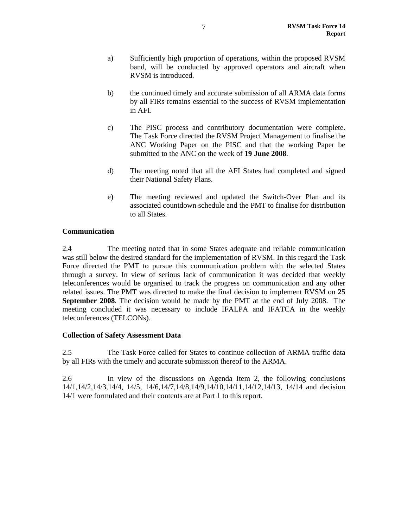- a) Sufficiently high proportion of operations, within the proposed RVSM band, will be conducted by approved operators and aircraft when RVSM is introduced.
- b) the continued timely and accurate submission of all ARMA data forms by all FIRs remains essential to the success of RVSM implementation in AFI.
- c) The PISC process and contributory documentation were complete. The Task Force directed the RVSM Project Management to finalise the ANC Working Paper on the PISC and that the working Paper be submitted to the ANC on the week of **19 June 2008**.
- d) The meeting noted that all the AFI States had completed and signed their National Safety Plans.
- e) The meeting reviewed and updated the Switch-Over Plan and its associated countdown schedule and the PMT to finalise for distribution to all States.

# **Communication**

2.4 The meeting noted that in some States adequate and reliable communication was still below the desired standard for the implementation of RVSM. In this regard the Task Force directed the PMT to pursue this communication problem with the selected States through a survey. In view of serious lack of communication it was decided that weekly teleconferences would be organised to track the progress on communication and any other related issues. The PMT was directed to make the final decision to implement RVSM on **25 September 2008**. The decision would be made by the PMT at the end of July 2008. The meeting concluded it was necessary to include IFALPA and IFATCA in the weekly teleconferences (TELCONs).

#### **Collection of Safety Assessment Data**

2.5 The Task Force called for States to continue collection of ARMA traffic data by all FIRs with the timely and accurate submission thereof to the ARMA.

2.6 In view of the discussions on Agenda Item 2, the following conclusions 14/1,14/2,14/3,14/4, 14/5, 14/6,14/7,14/8,14/9,14/10,14/11,14/12,14/13, 14/14 and decision 14/1 were formulated and their contents are at Part 1 to this report.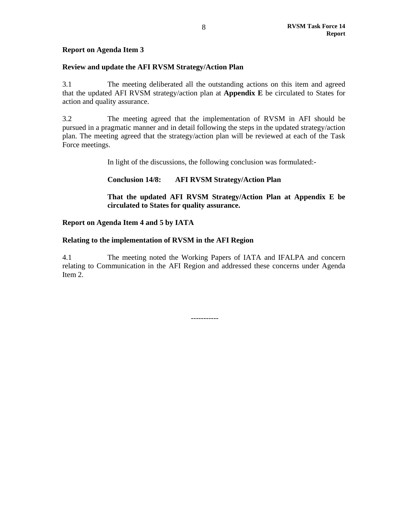## **Report on Agenda Item 3**

#### **Review and update the AFI RVSM Strategy/Action Plan**

3.1 The meeting deliberated all the outstanding actions on this item and agreed that the updated AFI RVSM strategy/action plan at **Appendix E** be circulated to States for action and quality assurance.

3.2 The meeting agreed that the implementation of RVSM in AFI should be pursued in a pragmatic manner and in detail following the steps in the updated strategy/action plan. The meeting agreed that the strategy/action plan will be reviewed at each of the Task Force meetings.

In light of the discussions, the following conclusion was formulated:-

## **Conclusion 14/8: AFI RVSM Strategy/Action Plan**

**That the updated AFI RVSM Strategy/Action Plan at Appendix E be circulated to States for quality assurance.** 

#### **Report on Agenda Item 4 and 5 by IATA**

#### **Relating to the implementation of RVSM in the AFI Region**

4.1 The meeting noted the Working Papers of IATA and IFALPA and concern relating to Communication in the AFI Region and addressed these concerns under Agenda Item 2.

-----------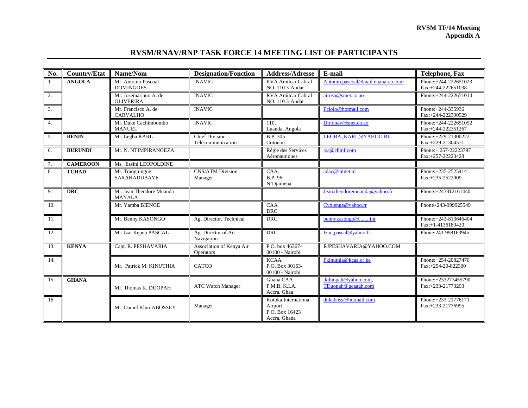#### **RVSM TF/14 Meeting Appendix A**

## **RVSM/RNAV/RNP TASK FORCE 14 MEETING LIST OF PARTICIPANTS**

| No.              | <b>Country/Etat</b> | Name/Nom                                  | <b>Designation/Fonction</b>                  | <b>Address/Adresse</b>                                            | E-mail                                    | <b>Telephone, Fax</b>                       |
|------------------|---------------------|-------------------------------------------|----------------------------------------------|-------------------------------------------------------------------|-------------------------------------------|---------------------------------------------|
| 1.               | <b>ANGOLA</b>       | Mr. Antonio Pascoal<br><b>DOMINGOES</b>   | <b>INAVIC</b>                                | <b>RVA Amilcar Cabral</b><br>NO. 110 3-Andar                      | Antonio.pascoal@mail.enana-co.com         | Phone: +244-222651023<br>Fax:+244-222651038 |
| 2.               |                     | Mr. Josemariano A. de<br><b>OLIVERIRA</b> | <b>INAVIC</b>                                | RVA Amilcar Cabral<br>NO. 110 3-Andar                             | airosa@smet.co.ao                         | Phone: +244-222651014                       |
| $\overline{3}$ . |                     | Mr. Francisco A. de<br><b>CARVALHO</b>    | <b>INAVIC</b>                                |                                                                   | Fclolo@hotmail.com                        | Phone: +244-335936<br>Fax:+244-222390529    |
| 4.               |                     | Mr. Duke Cachimbombo<br><b>MANUEL</b>     | <b>INAVIC</b>                                | 110.<br>Luanda, Angola                                            | Dir.dnav@snet.co.ao                       | Phone: +244-222651052<br>Fax:+244-222351267 |
| 5.               | <b>BENIN</b>        | Mr. Legba KARL                            | <b>Chief Division</b><br>Telecommunication   | B.P. 305<br>Cotonou                                               | <b>LEGBA KARL@YAHOO.BJ</b>                | Phone: +229-21300222<br>Fax:+229-21304571   |
| 6.               | <b>BURUNDI</b>      | Mr. N. NTIMPIRANGEZA                      |                                              | Régie des Services<br>Aéronautiques                               | rsa@cbinf.com                             | Phone: + 257-22223797<br>Fax:+257-22223428  |
| 7.               | <b>CAMEROON</b>     | Ms. Essini LEOPOLDINE                     |                                              |                                                                   |                                           |                                             |
| 8.               | <b>TCHAD</b>        | Mr. Traoguingue<br><b>SARAHADUBAYE</b>    | <b>CNS/ATM Division</b><br>Manager           | CAA,<br>B.P. 96<br>N'Diamena                                      | adac@intnet.td                            | Phone: +235-2525414<br>Fax:+235-2522909     |
| 9.               | <b>DRC</b>          | Mr. Jean Theodore Muanda<br><b>MAYALA</b> |                                              |                                                                   | Jean.theodoremuanda@yahoo.fr              | Phone: +243812161440                        |
| 10.              |                     | Mr. Yamba BIENGE                          |                                              | CAA<br><b>DRC</b>                                                 | Cybienge@yahoo.fr                         | Phone+243-999925549                         |
| 11.              |                     | Mr. Benny KASONGO                         | Ag. Director, Technical                      | <b>DRC</b>                                                        | bennykasongo@int                          | Phone: +243-813646404<br>Fax:+1-4136180420  |
| 12.              |                     | Mr. Izai Kepna PASCAL                     | Ag. Director of Air<br>Navigation            | <b>DRC</b>                                                        | Izai pascal@yahoo.fr                      | Phone: 243-998163945                        |
| 13.              | <b>KENYA</b>        | Capt. R. PESHAVARIA                       | Association of Kenya Air<br><b>Operators</b> | P.O. box 46367-<br>00100 - Nairobi                                | RJPESHAVARIA@YAHOO.COM                    |                                             |
| 14.              |                     | Mr. Patrick M. KINUTHIA                   | <b>CATCO</b>                                 | <b>KCAA</b><br>P.O. Box 30163-<br>00100 - Nairobi                 | Pkinuthia@kcaa.or.ke                      | Phone: +254-20827470<br>Fax:+254-20-822300  |
| 15.              | <b>GHANA</b>        | Mr. Thomas K. DUOPAH                      | <b>ATC Watch Manager</b>                     | Ghana CAA<br>P.M.B, K.I.A.<br>Accra, Ghaa                         | tkduopah@yahoo.com.<br>TDuopah@gcaagh.com | Phone: +233277455790<br>Fax:+233-21773293   |
| 16.              |                     | Mr. Daniel Kluti ABOSSEY                  | Manager                                      | Kotoka International<br>Airport<br>P.O. Box 16423<br>Accra, Ghana | dnkaboss@hotmail.com                      | Phone: +233-21776171<br>Fax:+233-21776995   |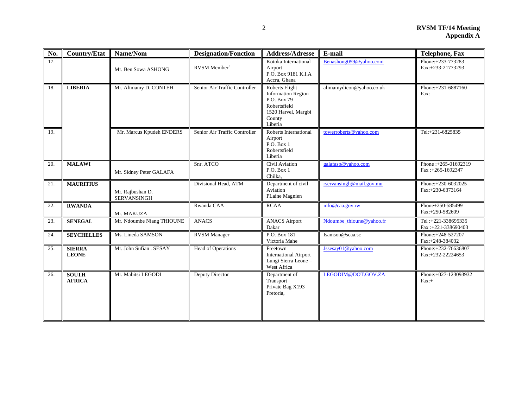| No. | <b>Country/Etat</b>           | Name/Nom                               | <b>Designation/Fonction</b>   | <b>Address/Adresse</b>                                                                                                 | E-mail                   | <b>Telephone, Fax</b>                     |
|-----|-------------------------------|----------------------------------------|-------------------------------|------------------------------------------------------------------------------------------------------------------------|--------------------------|-------------------------------------------|
| 17. |                               | Mr. Ben Sowa ASHONG                    | RVSM Member                   | Kotoka International<br>Airport<br>P.O. Box 9181 K.I.A<br>Accra, Ghana                                                 | Benashong059@yahoo.com   | Phone: +233-773283<br>Fax:+233-21773293   |
| 18. | <b>LIBERIA</b>                | Mr. Alimamy D. CONTEH                  | Senior Air Traffic Controller | Roberts Flight<br><b>Information Region</b><br>P.O. Box 79<br>Robertsfield<br>1520 Harvel, Margbi<br>County<br>Liberia | alimamydicon@yahoo.co.uk | Phone: +231-6887160<br>Fax:               |
| 19. |                               | Mr. Marcus Kpudeh ENDERS               | Senior Air Traffic Controller | Roberts International<br>Airport<br>P.O. Box 1<br>Robertsfield<br>Liberia                                              | towerroberts@yahoo.com   | Tel:+231-6825835                          |
| 20. | <b>MALAWI</b>                 | Mr. Sidney Peter GALAFA                | Snr. ATCO                     | <b>Civil Aviation</b><br>P.O. Box 1<br>Chilka,                                                                         | galafasp@yahoo.com       | Phone: +265-01692319<br>Fax:+265-1692347  |
| 21. | <b>MAURITIUS</b>              | Mr. Rajbushan D.<br><b>SERVANSINGH</b> | Divisional Head, ATM          | Department of civil<br>Aviation<br>PLaine Magnien                                                                      | rservansingh@mail.gov.mu | Phone:+230-6032025<br>Fax:+230-6373164    |
| 22. | <b>RWANDA</b>                 | Mr. MAKUZA                             | Rwanda CAA                    | <b>RCAA</b>                                                                                                            | info@caa.gov.rw          | Phone+250-585499<br>Fax:+250-582609       |
| 23. | <b>SENEGAL</b>                | Mr. Ndoumbe Niang THIOUNE              | <b>ANACS</b>                  | <b>ANACS Airport</b><br>Dakar                                                                                          | Ndoumbe thioune@yahoo.fr | Tel: +221-338695335<br>Fax:+221-338690403 |
| 24. | <b>SEYCHELLES</b>             | Ms. Lineda SAMSON                      | <b>RVSM</b> Manager           | P.O. Box 181<br>Victoria Mahe                                                                                          | Isamson@scaa.sc          | Phone:+248-527207<br>Fax:+248-384032      |
| 25. | <b>SIERRA</b><br><b>LEONE</b> | Mr. John Sufian . SESAY                | <b>Head of Operations</b>     | Freetown<br><b>International Airport</b><br>Lungi Sierra Leone -<br>West Africa                                        | Jssesay01@yahoo.com      | Phone: +232-76636807<br>Fax:+232-22224653 |
| 26. | <b>SOUTH</b><br><b>AFRICA</b> | Mr. Mabitsi LEGODI                     | <b>Deputy Director</b>        | Department of<br>Transport<br>Private Bag X193<br>Pretoria,                                                            | LEGODIM@DOT.GOV.ZA       | Phone:+027-123093932<br>$Fax: +$          |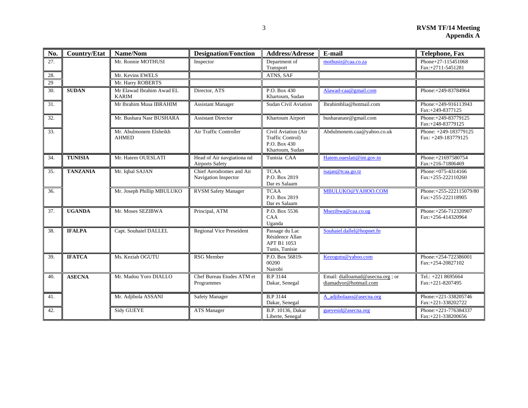| No. | <b>Country/Etat</b> | Name/Nom<br><b>Designation/Fonction</b>   |                                                      | <b>Address/Adresse</b>                                                            | E-mail                                                     | <b>Telephone, Fax</b>                          |
|-----|---------------------|-------------------------------------------|------------------------------------------------------|-----------------------------------------------------------------------------------|------------------------------------------------------------|------------------------------------------------|
| 27. |                     | Mr. Ronnie MOTHUSI                        | Inspector                                            | Department of<br>Transport                                                        | mothusir@caa.co.za                                         | Phone+27-115451068<br>Fax:+2711-5451281        |
| 28. |                     | Mr. Kevins EWELS                          |                                                      | ATNS, SAF                                                                         |                                                            |                                                |
| 29  |                     | Mr. Harry ROBERTS                         |                                                      |                                                                                   |                                                            |                                                |
| 30. | <b>SUDAN</b>        | Mr Elawad Ibrahim Awad EL<br><b>KARIM</b> | Director, ATS                                        | P.O. Box 430<br>Khartoum, Sudan                                                   | Alawad-caa@gmail.com                                       | Phone: +249-83784964                           |
| 31. |                     | Mr Ibrahim Musa IBRAHIM                   | <b>Assistant Manager</b>                             | <b>Sudan Civil Aviation</b>                                                       | Ibrahimblia@hotmail.com                                    | Phone: +249-916113943<br>Fax:+249-8377125      |
| 32. |                     | Mr. Bushara Nasr BUSHARA                  | <b>Assistant Director</b>                            | Khartoum Airport                                                                  | busharanasr@gmail.com                                      | Phone: +249-83779125<br>Fax:+248-83779125      |
| 33. |                     | Mr. Abulmonem Elsheikh<br><b>AHMED</b>    | Air Traffic Controller                               | Civil Aviation (Air<br><b>Traffic Control)</b><br>P.O. Box 430<br>Khartoum, Sudan | Abdulmonem.caa@yahoo.co.uk                                 | Phone: +249-183779125<br>Fax: +249-183779125   |
| 34. | <b>TUNISIA</b>      | Mr. Hatem OUESLATI                        | Head of Air navgiationa nd<br><b>Airports Safety</b> | Tunisia CAA                                                                       | Hatem.oueslati@int.gov.tn                                  | Phone:+21697580754<br>Fax:+216-71806469        |
| 35. | <b>TANZANIA</b>     | Mr. Iqbal SAJAN                           | Chief Aerodromes and Air<br>Navigation Inspector     | <b>TCAA</b><br>P.O. Box 2819<br>Dar es Salaam                                     | isajan@tcaa.go.tz                                          | Phone: +075-4314166<br>Fax:+255-222110260      |
| 36. |                     | Mr. Joseph Phillip MBULUKO                | <b>RVSM Safety Manager</b>                           | <b>TCAA</b><br>P.O. Box 2819<br>Dar es Salaam                                     | MBULUKO@YAHOO.COM                                          | Phone: +255-222115079/80<br>Fax:+255-222118905 |
| 37. | <b>UGANDA</b>       | Mr. Moses SEZIBWA                         | Principal, ATM                                       | P.O. Box 5536<br>CAA<br>Uganda                                                    | Msezibwa@caa.co.ug                                         | Phone:+256-712320907<br>Fax:+256-414320964     |
| 38. | <b>IFALPA</b>       | Capt. Souhaiel DALLEL                     | Regional Vice Preseident                             | Passage du Lac<br>Résidence Allan<br>APT B1 1053<br>Tunis, Tunisie                | Souhaiel.dallel@hopnet.fn                                  |                                                |
| 39. | <b>IFATCA</b>       | Ms. Keziah OGUTU                          | <b>RSG</b> Member                                    | P.O. Box 56819-<br>00200<br>Nairobi                                               | Kezogutu@yahoo.com                                         | Phone: +254-722386001<br>Fax:+254-20827102     |
| 40. | <b>ASECNA</b>       | Mr. Madou Yoro DIALLO                     | Chef Bureau Etudes ATM et<br>Programmes              | <b>B.P</b> 3144<br>Dakar, Senegal                                                 | Email: dialloamad@asecna.org ; or<br>diamadyor@hotmail.com | Tel.: +221 8695664<br>Fax:+221-8207495         |
| 41. |                     | Mr. Adjibola ASSANI                       | <b>Safety Manager</b>                                | B.P 3144<br>Dakar, Senegal                                                        | A_adjibolaass@asecna.org                                   | Phone: +221-338205746<br>Fax:+221-338202722    |
| 42. |                     | <b>Sidy GUEYE</b>                         | <b>ATS</b> Manager                                   | B.P. 10136, Dakar<br>Liberte, Senegal                                             | gueyesid@asecna.org                                        | Phone: +221-776384337<br>Fax:+221-338200656    |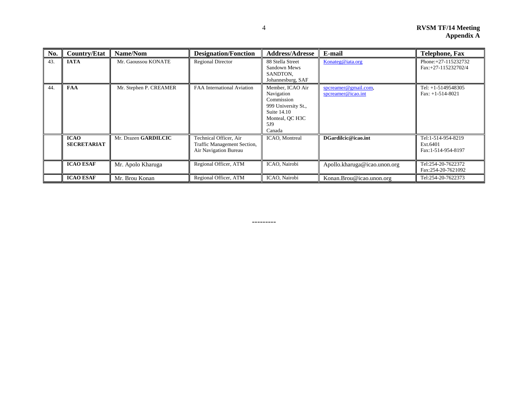| No. | <b>Country/Etat</b>               | Name/Nom               | <b>Designation/Fonction</b>                                                    | <b>Address/Adresse</b>                                                                                                 | E-mail                                     | <b>Telephone, Fax</b>                                |
|-----|-----------------------------------|------------------------|--------------------------------------------------------------------------------|------------------------------------------------------------------------------------------------------------------------|--------------------------------------------|------------------------------------------------------|
| 43. | <b>IATA</b>                       | Mr. Gaoussou KONATE    | <b>Regional Director</b>                                                       | 88 Stella Street<br>Sandown Mews<br>SANDTON.<br>Johannesburg, SAF                                                      | Konateg@iata.org                           | Phone: +27-115232732<br>Fax:+27-115232702/4          |
| 44. | <b>FAA</b>                        | Mr. Stephen P. CREAMER | FAA International Aviation                                                     | Member, ICAO Air<br>Navigation<br>Commission<br>999 University St.,<br>Suite 14.10<br>Monteal, QC H3C<br>5J9<br>Canada | spcreamer@gmail.com,<br>spcreamer@icao.int | Tel: $+1-5149548305$<br>Fax: $+1-514-8021$           |
|     | <b>ICAO</b><br><b>SECRETARIAT</b> | Mr. Drazen GARDILCIC   | Technical Officer, Air<br>Traffic Management Section,<br>Air Navigation Bureau | ICAO, Montreal                                                                                                         | DGardilcic@icao.int                        | Tel:1-514-954-8219<br>Ext.6401<br>Fax:1-514-954-8197 |
|     | <b>ICAO ESAF</b>                  | Mr. Apolo Kharuga      | Regional Officer, ATM                                                          | ICAO, Nairobi                                                                                                          | Apollo.kharuga@icao.unon.org               | Tel:254-20-7622372<br>Fax:254-20-7621092             |
|     | <b>ICAO ESAF</b>                  | Mr. Brou Konan         | Regional Officer, ATM                                                          | ICAO, Nairobi                                                                                                          | Konan.Brou@icao.unon.org                   | Tel:254-20-7622373                                   |

---------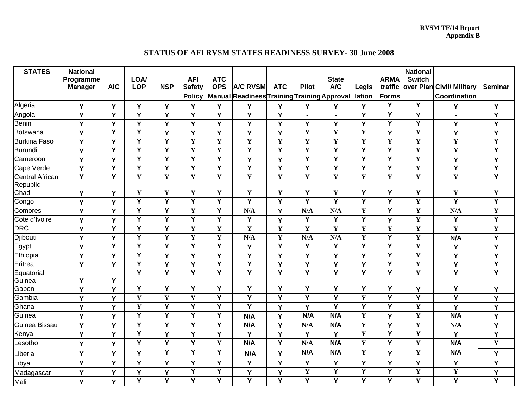#### **RVSM TF/14 Report Appendix B**

#### **STATUS OF AFI RVSM STATES READINESS SURVEY- 30 June 2008**

| <b>STATES</b>                      | <b>National</b><br>Programme<br><b>Manager</b> | <b>AIC</b>              | LOA/<br><b>LOP</b>      | <b>NSP</b>              | <b>AFI</b><br><b>Safety</b> | <b>ATC</b><br><b>OPS</b> | <b>A/C RVSM</b>                             | <b>ATC</b>              | <b>Pilot</b>            | <b>State</b><br>A/C     | Legis                   | <b>ARMA</b><br>traffic | <b>National</b><br><b>Switch</b> | over Plan Civil/ Military | <b>Seminar</b>          |
|------------------------------------|------------------------------------------------|-------------------------|-------------------------|-------------------------|-----------------------------|--------------------------|---------------------------------------------|-------------------------|-------------------------|-------------------------|-------------------------|------------------------|----------------------------------|---------------------------|-------------------------|
|                                    |                                                |                         |                         |                         | <b>Policy</b>               |                          | Manual Readiness Training Training Approval |                         |                         |                         | lation                  | <b>Forms</b>           |                                  | Coordination              |                         |
| Algeria                            | Y                                              | Y                       | Y                       | Y                       | Y                           | Y                        | Υ                                           | Y                       | Y                       | Y                       | Y                       | Y                      | Y                                | Y                         | Y                       |
| Angola                             | Y                                              | Y                       | Y                       | Y                       | Y                           | Y                        | Y                                           | Y                       | $\blacksquare$          | $\blacksquare$          | Y                       | Y                      | Y                                | $\blacksquare$            | Y                       |
| <b>Benin</b>                       | Y                                              | Y                       | Y                       | Y                       | Y                           | Y                        | Y                                           | Y                       | Y                       | Y                       | Y                       | Y                      | Υ                                | Y                         | Y                       |
| <b>Botswana</b>                    | Υ                                              | Y                       | Y                       | Y                       | Y                           | Y                        | Y                                           | Y                       | Y                       | $\mathbf Y$             | $\mathbf Y$             | Y                      | $\mathbf Y$                      | Y                         | Y                       |
| <b>Burkina Faso</b>                | Y                                              | Y                       | $\overline{Y}$          | Y                       | $\mathbf Y$                 | Y                        | $\mathbf Y$                                 | Y                       | $\mathbf Y$             | $\mathbf Y$             | $\mathbf{Y}$            | Y                      | ${\bf Y}$                        | $\mathbf Y$               | $\overline{\mathsf{Y}}$ |
| <b>Burundi</b>                     | Y                                              | Y                       | Y                       | Y                       | Y                           | Y                        | Y                                           | Y                       | Y                       | Y                       | Y                       | Y                      | $\mathbf Y$                      | Y                         | Y                       |
| Cameroon                           | Y                                              | Y                       | $\overline{Y}$          | Y                       | Ÿ                           | $\overline{\mathsf{Y}}$  | Y                                           | Y                       | $\overline{Y}$          | $\overline{\mathsf{Y}}$ | $\overline{Y}$          | Ÿ                      | $\mathbf Y$                      | Y                         | Y                       |
| Cape Verde                         | Y                                              | Y                       | $\overline{Y}$          | Y                       | Y                           | $\overline{Y}$           | $\overline{\mathsf{Y}}$                     | Ÿ                       | $\overline{\mathsf{Y}}$ | Y                       | Y                       | Y                      | $\mathbf Y$                      | $\overline{\mathsf{Y}}$   | $\overline{Y}$          |
| <b>Central African</b><br>Republic | $\overline{\mathsf{Y}}$                        | $\overline{\mathsf{Y}}$ | Y                       | Y                       | Y                           | $\mathbf Y$              | $\mathbf Y$                                 | Y                       | Y                       | $\mathbf Y$             | Y                       | $\mathbf Y$            | $\mathbf{Y}$                     | $\mathbf Y$               | $\overline{Y}$          |
| Chad                               | Y                                              | Y                       | $\mathbf Y$             | $\mathbf Y$             | $\mathbf Y$                 | $\mathbf Y$              | $\mathbf Y$                                 | $\mathbf Y$             | Y                       | $\mathbf Y$             | Y                       | Y                      | $\mathbf Y$                      | $\mathbf Y$               | $\mathbf Y$             |
| Congo                              | Y                                              | Y                       | $\overline{\mathsf{Y}}$ | $\overline{Y}$          | Ÿ                           | $\overline{Y}$           | Ÿ                                           | Ÿ                       | $\overline{\mathsf{Y}}$ | Ÿ                       | Ÿ                       | Ÿ                      | $\overline{\mathbf{Y}}$          | $\overline{\mathsf{Y}}$   | $\overline{Y}$          |
| Comores                            | Y                                              | Y                       | Y                       | Υ                       | $\mathbf Y$                 | Y                        | N/A                                         | Y                       | N/A                     | N/A                     | $\mathbf Y$             | Y                      | $\mathbf Y$                      | N/A                       | $\mathbf Y$             |
| Cote d'Ivoire                      | Ý                                              | Y                       | $\overline{Y}$          | $\overline{\mathsf{Y}}$ | $\overline{\mathsf{Y}}$     | $\overline{Y}$           | $\overline{Y}$                              | Y                       | $\overline{Y}$          | $\overline{Y}$          | $\overline{Y}$          | Y                      | ${\bf Y}$                        | $\overline{\mathsf{Y}}$   | $\overline{Y}$          |
| <b>DRC</b>                         | Y                                              | Y                       | Y                       | Y                       | Y                           | Y                        | $\mathbf Y$                                 | Y                       | Y                       | $\mathbf Y$             | $\mathbf Y$             | Y                      | $\mathbf Y$                      | Y                         | $\mathbf Y$             |
| Djibouti<br>Egypt<br>Ethiopia      | Y                                              | Y                       | Y                       | Y                       | Y                           | Y                        | N/A                                         | Y                       | N/A                     | N/A                     | $\mathbf Y$             | Ý                      | $\mathbf Y$                      | N/A                       | Ý                       |
|                                    | Y                                              | Ÿ                       | $\overline{Y}$          | $\overline{\mathsf{Y}}$ | Y                           | $\overline{\mathsf{Y}}$  | Y                                           | $\overline{Y}$          | Y                       | Ÿ                       | $\overline{\mathsf{Y}}$ | Y                      | $\mathbf Y$                      | Y                         | Y                       |
|                                    | Y                                              | Y                       | Y                       | Y                       | Y                           | Y                        | Y                                           | Y                       | Y                       | Y                       | Y                       | Y                      | $\mathbf Y$                      | Y                         | Y                       |
| Eritrea                            | Y                                              | Y                       | Y                       | Y                       | Y                           | $\overline{\mathsf{Y}}$  | $\overline{Y}$                              | Y                       | Y                       | Y                       | Y                       | Y                      | $\mathbf Y$                      | Y                         | $\overline{Y}$          |
| Equatorial<br>Guinea<br>Gabon      |                                                |                         | $\overline{Y}$          | $\overline{\mathsf{Y}}$ | Y                           | Y                        | $\overline{Y}$                              | Y                       | Y                       | Y                       | Y                       | Y                      | $\mathbf Y$                      | $\overline{\mathsf{Y}}$   | $\overline{Y}$          |
|                                    | Υ                                              | Υ                       |                         |                         |                             |                          |                                             |                         |                         |                         |                         |                        |                                  |                           |                         |
|                                    | Y                                              | Y                       | $\overline{\mathsf{Y}}$ | $\overline{\mathsf{Y}}$ | Y                           | $\overline{\mathsf{Y}}$  | Y                                           | $\overline{\mathsf{Y}}$ | $\overline{\mathsf{Y}}$ | Y                       | $\overline{Y}$          | Ÿ                      | Y                                | $\overline{\mathsf{Y}}$   | Y                       |
| Gambia                             | Y                                              | Y                       | Y                       | $\mathbf Y$             | Y                           | Y                        | Y                                           | Y                       | Y                       | Y                       | $\mathbf Y$             | Y                      | Y                                | Y                         | Y                       |
| Ghana                              | Y                                              | Y                       | Y                       | $\overline{\mathsf{Y}}$ | $\overline{\mathsf{Y}}$     | $\overline{Y}$           | $\overline{Y}$                              | Y                       | Y                       | Y                       | $\overline{\mathsf{Y}}$ | Y                      | $\mathbf Y$                      | Y                         | Y                       |
| Guinea                             | Y                                              | Y                       | $\overline{Y}$          | $\overline{Y}$          | $\overline{\mathsf{Y}}$     | $\overline{\mathsf{Y}}$  | N/A                                         | Y                       | N/A                     | N/A                     | $\mathbf Y$             | Y                      | $\mathbf Y$                      | N/A                       | Y                       |
| Guinea Bissau                      | Y                                              | Y                       | Y                       | Y                       | Y                           | Y                        | N/A                                         | Y                       | N/A                     | N/A                     | $\mathbf Y$             | Y                      | $\mathbf Y$                      | N/A                       | Y                       |
| Kenya                              | Υ                                              | Y                       | Y                       | Y                       | Y                           | Y                        | Y                                           | Y                       | Y                       | Y                       | $\mathbf Y$             | Y                      | $\mathbf Y$                      | Y                         | Υ                       |
| Lesotho                            | Y                                              | Y                       | Y                       | Y                       | Y                           | $\mathbf Y$              | N/A                                         | Y                       | N/A                     | N/A                     | $\mathbf Y$             | Y                      | $\mathbf Y$                      | N/A                       | $\mathbf Y$             |
| _iberia                            | Y                                              | Y                       | Y                       | Y                       | Y                           | Y                        | N/A                                         | Y                       | N/A                     | N/A                     | $\mathbf Y$             | Y                      | ${\bf Y}$                        | N/A                       | Y                       |
| Libya                              | Y                                              | Y                       | Y                       | Y                       | Y                           | Y                        | Υ                                           | Y                       | Y                       | Υ                       | Y                       | Υ                      | Υ                                | Y                         | Y                       |
| Madagascar                         | Y                                              | Y                       | Y                       | Y                       | $\overline{Y}$              | $\overline{Y}$           | Y                                           | Y                       | Y                       | Ý                       | Y                       | Y                      | $\mathbf Y$                      | $\mathbf Y$               | Y                       |
| Mali                               | Y                                              | Y                       | $\overline{\mathsf{Y}}$ | $\overline{Y}$          | $\overline{\mathsf{Y}}$     | $\overline{Y}$           | $\overline{Y}$                              | Ÿ                       | $\overline{\mathsf{Y}}$ | $\overline{\mathsf{Y}}$ | $\overline{Y}$          | Ÿ                      | $\overline{\mathbf{Y}}$          | $\overline{\mathsf{Y}}$   | $\overline{\mathsf{Y}}$ |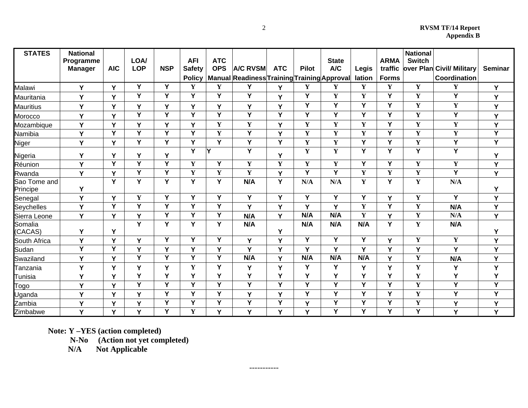| <b>STATES</b>            | <b>National</b><br>Programme<br><b>Manager</b> | <b>AIC</b>     | LOA/<br><b>LOP</b>      | <b>NSP</b>              | <b>AFI</b><br><b>Safety</b><br><b>Policy</b> | <b>ATC</b><br><b>OPS</b> | <b>A/C RVSM</b><br>Manual Readiness Training Training Approval | <b>ATC</b>              | <b>Pilot</b> | <b>State</b><br>A/C | Legis<br>lation | <b>ARMA</b><br>traffic<br>Forms | <b>National</b><br><b>Switch</b> | over Plan Civil/ Military<br>Coordination | <b>Seminar</b> |
|--------------------------|------------------------------------------------|----------------|-------------------------|-------------------------|----------------------------------------------|--------------------------|----------------------------------------------------------------|-------------------------|--------------|---------------------|-----------------|---------------------------------|----------------------------------|-------------------------------------------|----------------|
| Malawi                   | Y                                              | Y              | Y                       | Y                       | Y                                            | Y                        | Υ                                                              | Y                       | Y            | Y                   | $\mathbf Y$     | Y                               | $\mathbf Y$                      | Y                                         | Y              |
| Mauritania               | Υ                                              | Y              | Y                       | Y                       | Y                                            | Y                        | $\overline{\mathsf{Y}}$                                        | Y                       | Y            | $\mathbf Y$         | $\mathbf Y$     | Y                               | $\mathbf Y$                      | Y                                         | Y              |
| <b>Mauritius</b>         | Y                                              | Y              | Y                       | Y                       | Y                                            | Y                        | Y                                                              | Y                       | Y            | Y                   | Y               | Y                               | $\mathbf Y$                      | $\mathbf Y$                               | Y              |
| Morocco                  | Υ                                              | Y              | Y                       | Y                       | Y                                            | Y                        | Y                                                              | Y                       | Y            | Y                   | Y               | Y                               | Y                                | Y                                         | Y              |
| Mozambique               | Y                                              | Y              | Y                       | Y                       | Y                                            | $\mathbf Y$              | $\mathbf Y$                                                    | Y                       | $\mathbf{Y}$ | $\mathbf{Y}$        | $\mathbf Y$     | Y                               | $\mathbf Y$                      | $\mathbf Y$                               | Y              |
| Namibia                  | Y                                              | Y              | Y                       | $\overline{\mathsf{Y}}$ | Y                                            | $\mathbf Y$              | Y                                                              | Y                       | Y            | $\mathbf Y$         | $\mathbf Y$     | Y                               | $\mathbf Y$                      | $\mathbf Y$                               | $\overline{Y}$ |
| Niger                    | Υ                                              | Y              | Y                       | Y                       | Y                                            | Y                        | Y                                                              | Y                       | Y            | $\mathbf Y$         | Y               | Y                               | $\mathbf Y$                      | Y                                         | Y              |
| Nigeria                  | Y                                              | Υ              | Υ                       | Y                       | Y                                            | Y                        | $\overline{\mathsf{Y}}$                                        | Y                       | $\mathbf{Y}$ | $\mathbf Y$         | Y               | Y                               | $\overline{Y}$                   | Y                                         | Y              |
| Réunion                  | Y                                              | $\overline{Y}$ | $\overline{\mathsf{Y}}$ | $\overline{\mathsf{Y}}$ | $\mathbf Y$                                  | Y                        | $\mathbf Y$                                                    | $\overline{\mathbf{Y}}$ | $\mathbf{Y}$ | $\mathbf Y$         | Y               | Y                               | $\mathbf Y$                      | $\mathbf Y$                               | Y              |
| Rwanda                   | Y                                              | Y              | Y                       | Y                       | $\mathbf Y$                                  | $\mathbf Y$              | $\mathbf Y$                                                    | Y                       | Y            | Y                   | $\mathbf Y$     | $\mathbf Y$                     | $\mathbf Y$                      | Y                                         | Y              |
| Sao Tome and<br>Principe | Υ                                              | Y              | Y                       | Y                       | Y                                            | Y                        | N/A                                                            | Y                       | N/A          | N/A                 | $\mathbf Y$     | Y                               | $\mathbf Y$                      | N/A                                       | Y              |
| Senegal                  | Υ                                              | Y              | $\mathbf Y$             | Y                       | Y                                            | Y                        | $\overline{Y}$                                                 | Y                       | Y            | $\overline{Y}$      | $\overline{Y}$  | Y                               | $\mathbf Y$                      | Y                                         | Υ              |
| Seychelles               | Y                                              | Y              | Y                       | Y                       | Y                                            | Y                        | Y                                                              | Y                       | Y            | Y                   | $\mathbf Y$     | Y                               | $\mathbf Y$                      | N/A                                       | Y              |
| Sierra Leone             | Y                                              | Y              | Y                       | Y                       | Y                                            | Y                        | N/A                                                            | Y                       | N/A          | N/A                 | $\mathbf Y$     | Y                               | $\mathbf Y$                      | N/A                                       | Y              |
| Somalia<br>(CACAS)       | Y                                              | Y              | $\overline{Y}$          | $\overline{\mathsf{Y}}$ | Y                                            | Y                        | N/A                                                            | Y                       | N/A          | N/A                 | N/A             | $\overline{\mathsf{Y}}$         | $\mathbf Y$                      | N/A                                       | Y              |
| South Africa             | Y                                              | Y              | Y                       | Y                       | Y                                            | Y                        | Y                                                              | Y                       | Y            | Y                   | Y               | Y                               | $\mathbf Y$                      | $\mathbf Y$                               | Y              |
| Sudan                    | Ÿ                                              | Y              | Y                       | Y                       | Y                                            | Y                        | Y                                                              | Y                       | Y            | Y                   | Y               | Y                               | Y                                | Y                                         | Y              |
| Swaziland                | Y                                              | Y              | Y                       | Y                       | Y                                            | Y                        | N/A                                                            | Y                       | N/A          | N/A                 | N/A             | Y                               | $\mathbf Y$                      | N/A                                       | Y              |
| Tanzania                 | Y                                              | Y              | Y                       | Y                       | $\mathbf Y$                                  | Y                        | Y                                                              | Y                       | Υ            | Υ                   | Y               | Y                               | $\mathbf Y$                      | Y                                         | Y              |
| Tunisia                  | Υ                                              | Y              | Y                       | Y                       | Y                                            | Y                        | Y                                                              | Y                       | Y            | Y                   | Y               | Υ                               | $\mathbf Y$                      | Y                                         | Y              |
| Togo                     | Y                                              | Y              | Y                       | Y                       | Y                                            | Y                        | $\overline{Y}$                                                 | Y                       | Y            | Y                   | Υ               | Y                               | $\mathbf Y$                      | Y                                         | Υ              |
| Uganda                   | Y                                              | Y              | Y                       | Y                       | Y                                            | Y                        | Y                                                              | Y                       | Y            | Y                   | Y               | Y                               | $\mathbf Y$                      | Y                                         | Y              |
| Zambia                   | Y                                              | Y              | Y                       | Y                       | Y                                            | Y                        | Y                                                              | Y                       | Y            | Y                   | Y               | Y                               | $\mathbf Y$                      | Y                                         | Υ              |
| Zimbabwe                 | Y                                              | Y              | Y                       | Y                       | $\mathbf Y$                                  | Y                        | Y                                                              | Y                       | Y            | $\overline{Y}$      | Y               | Y                               | $\overline{Y}$                   | Y                                         | Y              |

-----------

**Note: Y –YES (action completed)** 

 **N-No (Action not yet completed)** 

 **N/A Not Applicable**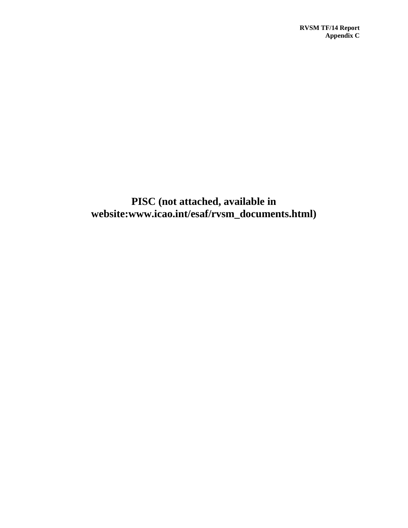**PISC (not attached, available in website:www.icao.int/esaf/rvsm\_documents.html)**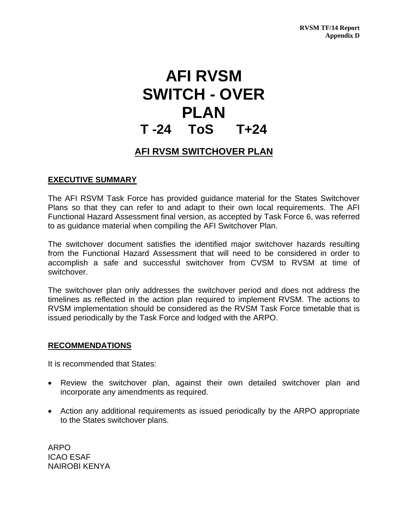# **AFI RVSM SWITCH - OVER PLAN T -24 ToS T+24**

# **AFI RVSM SWITCHOVER PLAN**

# **EXECUTIVE SUMMARY**

The AFI RSVM Task Force has provided guidance material for the States Switchover Plans so that they can refer to and adapt to their own local requirements. The AFI Functional Hazard Assessment final version, as accepted by Task Force 6, was referred to as guidance material when compiling the AFI Switchover Plan.

The switchover document satisfies the identified major switchover hazards resulting from the Functional Hazard Assessment that will need to be considered in order to accomplish a safe and successful switchover from CVSM to RVSM at time of switchover.

The switchover plan only addresses the switchover period and does not address the timelines as reflected in the action plan required to implement RVSM. The actions to RVSM implementation should be considered as the RVSM Task Force timetable that is issued periodically by the Task Force and lodged with the ARPO.

# **RECOMMENDATIONS**

It is recommended that States:

- Review the switchover plan, against their own detailed switchover plan and incorporate any amendments as required.
- Action any additional requirements as issued periodically by the ARPO appropriate to the States switchover plans.

ARPO ICAO ESAF NAIROBI KENYA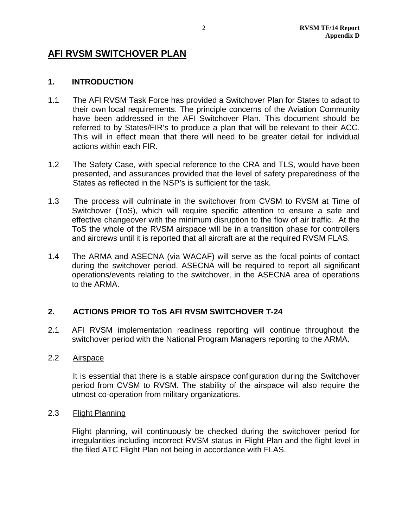# **AFI RVSM SWITCHOVER PLAN**

# **1. INTRODUCTION**

- 1.1 The AFI RVSM Task Force has provided a Switchover Plan for States to adapt to their own local requirements. The principle concerns of the Aviation Community have been addressed in the AFI Switchover Plan. This document should be referred to by States/FIR's to produce a plan that will be relevant to their ACC. This will in effect mean that there will need to be greater detail for individual actions within each FIR.
- 1.2 The Safety Case, with special reference to the CRA and TLS, would have been presented, and assurances provided that the level of safety preparedness of the States as reflected in the NSP's is sufficient for the task.
- 1.3 The process will culminate in the switchover from CVSM to RVSM at Time of Switchover (ToS), which will require specific attention to ensure a safe and effective changeover with the minimum disruption to the flow of air traffic. At the ToS the whole of the RVSM airspace will be in a transition phase for controllers and aircrews until it is reported that all aircraft are at the required RVSM FLAS.
- 1.4 The ARMA and ASECNA (via WACAF) will serve as the focal points of contact during the switchover period. ASECNA will be required to report all significant operations/events relating to the switchover, in the ASECNA area of operations to the ARMA.

# **2. ACTIONS PRIOR TO ToS AFI RVSM SWITCHOVER T-24**

2.1 AFI RVSM implementation readiness reporting will continue throughout the switchover period with the National Program Managers reporting to the ARMA.

# 2.2 Airspace

 It is essential that there is a stable airspace configuration during the Switchover period from CVSM to RVSM. The stability of the airspace will also require the utmost co-operation from military organizations.

# 2.3 Flight Planning

Flight planning, will continuously be checked during the switchover period for irregularities including incorrect RVSM status in Flight Plan and the flight level in the filed ATC Flight Plan not being in accordance with FLAS.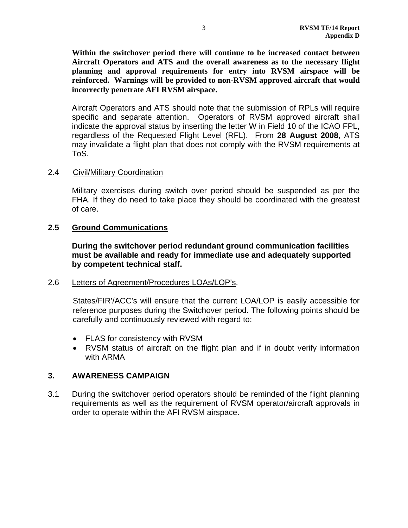**Within the switchover period there will continue to be increased contact between Aircraft Operators and ATS and the overall awareness as to the necessary flight planning and approval requirements for entry into RVSM airspace will be reinforced. Warnings will be provided to non-RVSM approved aircraft that would incorrectly penetrate AFI RVSM airspace.** 

Aircraft Operators and ATS should note that the submission of RPLs will require specific and separate attention. Operators of RVSM approved aircraft shall indicate the approval status by inserting the letter W in Field 10 of the ICAO FPL, regardless of the Requested Flight Level (RFL). From **28 August 2008**, ATS may invalidate a flight plan that does not comply with the RVSM requirements at ToS.

# 2.4 Civil/Military Coordination

Military exercises during switch over period should be suspended as per the FHA. If they do need to take place they should be coordinated with the greatest of care.

# **2.5 Ground Communications**

**During the switchover period redundant ground communication facilities must be available and ready for immediate use and adequately supported by competent technical staff.** 

# 2.6 Letters of Agreement/Procedures LOAs/LOP's.

States/FIR'/ACC's will ensure that the current LOA/LOP is easily accessible for reference purposes during the Switchover period. The following points should be carefully and continuously reviewed with regard to:

- FLAS for consistency with RVSM
- RVSM status of aircraft on the flight plan and if in doubt verify information with ARMA

# **3. AWARENESS CAMPAIGN**

3.1 During the switchover period operators should be reminded of the flight planning requirements as well as the requirement of RVSM operator/aircraft approvals in order to operate within the AFI RVSM airspace.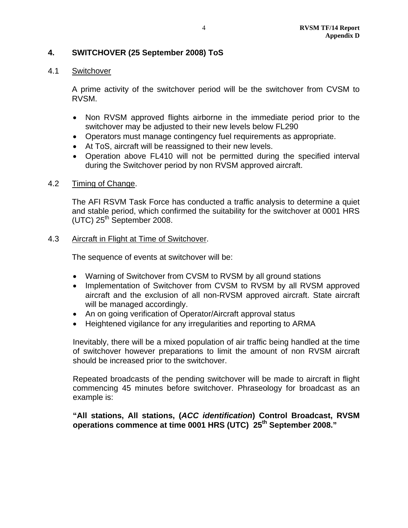# **4. SWITCHOVER (25 September 2008) ToS**

# 4.1 Switchover

A prime activity of the switchover period will be the switchover from CVSM to RVSM.

- Non RVSM approved flights airborne in the immediate period prior to the switchover may be adjusted to their new levels below FL290
- Operators must manage contingency fuel requirements as appropriate.
- At ToS, aircraft will be reassigned to their new levels.
- Operation above FL410 will not be permitted during the specified interval during the Switchover period by non RVSM approved aircraft.

# 4.2 Timing of Change.

The AFI RSVM Task Force has conducted a traffic analysis to determine a quiet and stable period, which confirmed the suitability for the switchover at 0001 HRS  $(UTC)$  25<sup>th</sup> September 2008.

# 4.3 Aircraft in Flight at Time of Switchover.

The sequence of events at switchover will be:

- Warning of Switchover from CVSM to RVSM by all ground stations
- Implementation of Switchover from CVSM to RVSM by all RVSM approved aircraft and the exclusion of all non-RVSM approved aircraft. State aircraft will be managed accordingly.
- An on going verification of Operator/Aircraft approval status
- Heightened vigilance for any irregularities and reporting to ARMA

Inevitably, there will be a mixed population of air traffic being handled at the time of switchover however preparations to limit the amount of non RVSM aircraft should be increased prior to the switchover.

Repeated broadcasts of the pending switchover will be made to aircraft in flight commencing 45 minutes before switchover. Phraseology for broadcast as an example is:

**"All stations, All stations, (***ACC identification***) Control Broadcast, RVSM operations commence at time 0001 HRS (UTC) 25th September 2008."**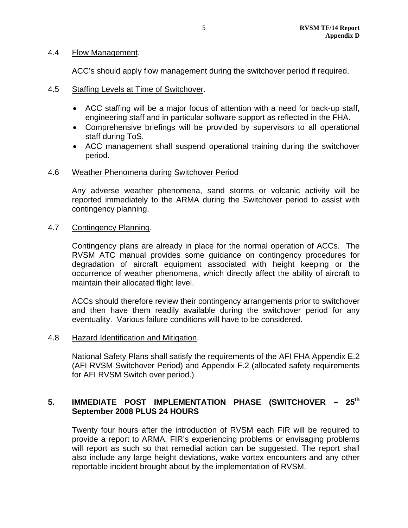## 4.4 Flow Management.

ACC's should apply flow management during the switchover period if required.

- 4.5 Staffing Levels at Time of Switchover.
	- ACC staffing will be a major focus of attention with a need for back-up staff, engineering staff and in particular software support as reflected in the FHA.
	- Comprehensive briefings will be provided by supervisors to all operational staff during ToS.
	- ACC management shall suspend operational training during the switchover period.

# 4.6 Weather Phenomena during Switchover Period

Any adverse weather phenomena, sand storms or volcanic activity will be reported immediately to the ARMA during the Switchover period to assist with contingency planning.

# 4.7 Contingency Planning.

Contingency plans are already in place for the normal operation of ACCs. The RVSM ATC manual provides some guidance on contingency procedures for degradation of aircraft equipment associated with height keeping or the occurrence of weather phenomena, which directly affect the ability of aircraft to maintain their allocated flight level.

ACCs should therefore review their contingency arrangements prior to switchover and then have them readily available during the switchover period for any eventuality. Various failure conditions will have to be considered.

# 4.8 Hazard Identification and Mitigation.

National Safety Plans shall satisfy the requirements of the AFI FHA Appendix E.2 (AFI RVSM Switchover Period) and Appendix F.2 (allocated safety requirements for AFI RVSM Switch over period.)

# 5. **IMMEDIATE POST IMPLEMENTATION PHASE (SWITCHOVER - 25<sup>th</sup> September 2008 PLUS 24 HOURS**

Twenty four hours after the introduction of RVSM each FIR will be required to provide a report to ARMA. FIR's experiencing problems or envisaging problems will report as such so that remedial action can be suggested. The report shall also include any large height deviations, wake vortex encounters and any other reportable incident brought about by the implementation of RVSM.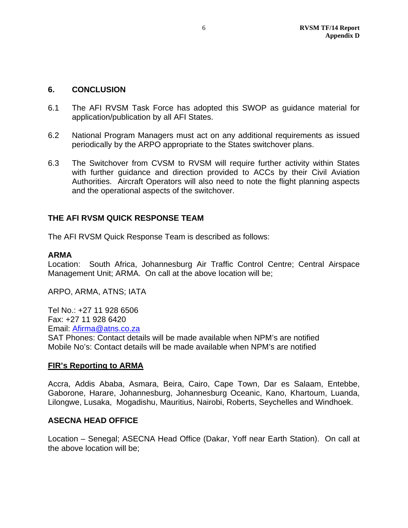# **6. CONCLUSION**

- 6.1 The AFI RVSM Task Force has adopted this SWOP as guidance material for application/publication by all AFI States.
- 6.2 National Program Managers must act on any additional requirements as issued periodically by the ARPO appropriate to the States switchover plans.
- 6.3 The Switchover from CVSM to RVSM will require further activity within States with further guidance and direction provided to ACCs by their Civil Aviation Authorities. Aircraft Operators will also need to note the flight planning aspects and the operational aspects of the switchover.

# **THE AFI RVSM QUICK RESPONSE TEAM**

The AFI RVSM Quick Response Team is described as follows:

# **ARMA**

Location: South Africa, Johannesburg Air Traffic Control Centre; Central Airspace Management Unit; ARMA. On call at the above location will be;

ARPO, ARMA, ATNS; IATA

Tel No.: +27 11 928 6506 Fax: +27 11 928 6420 Email: Afirma@atns.co.za SAT Phones: Contact details will be made available when NPM's are notified Mobile No's: Contact details will be made available when NPM's are notified

# **FIR's Reporting to ARMA**

Accra, Addis Ababa, Asmara, Beira, Cairo, Cape Town, Dar es Salaam, Entebbe, Gaborone, Harare, Johannesburg, Johannesburg Oceanic, Kano, Khartoum, Luanda, Lilongwe, Lusaka, Mogadishu, Mauritius, Nairobi, Roberts, Seychelles and Windhoek.

# **ASECNA HEAD OFFICE**

Location – Senegal; ASECNA Head Office (Dakar, Yoff near Earth Station). On call at the above location will be;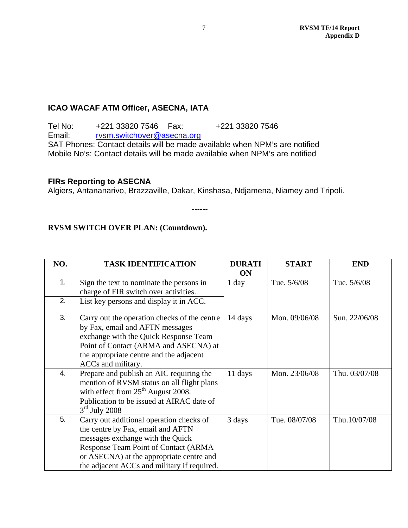# **ICAO WACAF ATM Officer, ASECNA, IATA**

Tel No: +221 33820 7546 Fax: +221 33820 7546 Email: rvsm.switchover@asecna.org SAT Phones: Contact details will be made available when NPM's are notified Mobile No's: Contact details will be made available when NPM's are notified

# **FIRs Reporting to ASECNA**

Algiers, Antananarivo, Brazzaville, Dakar, Kinshasa, Ndjamena, Niamey and Tripoli.

------

# **RVSM SWITCH OVER PLAN: (Countdown).**

| NO. | <b>TASK IDENTIFICATION</b>                                                                                                                                                                                                                           | <b>DURATI</b><br><b>ON</b> | <b>START</b>  | <b>END</b>    |
|-----|------------------------------------------------------------------------------------------------------------------------------------------------------------------------------------------------------------------------------------------------------|----------------------------|---------------|---------------|
| 1.  | Sign the text to nominate the persons in<br>charge of FIR switch over activities.                                                                                                                                                                    | 1 day                      | Tue. 5/6/08   | Tue. 5/6/08   |
| 2.  | List key persons and display it in ACC.                                                                                                                                                                                                              |                            |               |               |
| 3.  | Carry out the operation checks of the centre<br>by Fax, email and AFTN messages<br>exchange with the Quick Response Team<br>Point of Contact (ARMA and ASECNA) at<br>the appropriate centre and the adjacent<br>ACCs and military.                   | 14 days                    | Mon. 09/06/08 | Sun. 22/06/08 |
| 4.  | Prepare and publish an AIC requiring the<br>mention of RVSM status on all flight plans<br>with effect from $25th$ August 2008.<br>Publication to be issued at AIRAC date of<br>$3rd$ July 2008                                                       | 11 days                    | Mon. 23/06/08 | Thu. 03/07/08 |
| 5.  | Carry out additional operation checks of<br>the centre by Fax, email and AFTN<br>messages exchange with the Quick<br>Response Team Point of Contact (ARMA<br>or ASECNA) at the appropriate centre and<br>the adjacent ACCs and military if required. | 3 days                     | Tue. 08/07/08 | Thu.10/07/08  |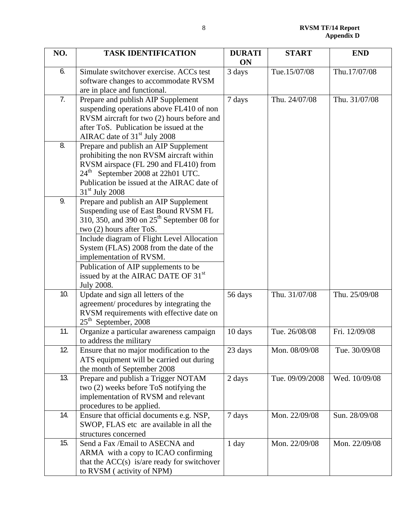| NO. | <b>TASK IDENTIFICATION</b>                                                                                                                                                                                                                                                                                                                                               | <b>DURATI</b><br><b>ON</b> | <b>START</b>    | <b>END</b>    |
|-----|--------------------------------------------------------------------------------------------------------------------------------------------------------------------------------------------------------------------------------------------------------------------------------------------------------------------------------------------------------------------------|----------------------------|-----------------|---------------|
| 6.  | Simulate switchover exercise. ACCs test<br>software changes to accommodate RVSM<br>are in place and functional.                                                                                                                                                                                                                                                          | 3 days                     | Tue.15/07/08    | Thu.17/07/08  |
| 7.  | Prepare and publish AIP Supplement<br>suspending operations above FL410 of non<br>RVSM aircraft for two (2) hours before and<br>after ToS. Publication be issued at the<br>AIRAC date of 31 <sup>st</sup> July 2008                                                                                                                                                      | 7 days                     | Thu. 24/07/08   | Thu. 31/07/08 |
| 8.  | Prepare and publish an AIP Supplement<br>prohibiting the non RVSM aircraft within<br>RVSM airspace (FL 290 and FL410) from<br>24 <sup>th</sup> September 2008 at 22h01 UTC.<br>Publication be issued at the AIRAC date of<br>$31st$ July 2008                                                                                                                            |                            |                 |               |
| 9.  | Prepare and publish an AIP Supplement<br>Suspending use of East Bound RVSM FL<br>310, 350, and 390 on $25th$ September 08 for<br>two (2) hours after ToS.<br>Include diagram of Flight Level Allocation<br>System (FLAS) 2008 from the date of the<br>implementation of RVSM.<br>Publication of AIP supplements to be<br>issued by at the AIRAC DATE OF 31 <sup>st</sup> |                            |                 |               |
|     | <b>July 2008.</b>                                                                                                                                                                                                                                                                                                                                                        |                            |                 |               |
| 10. | Update and sign all letters of the<br>agreement/procedures by integrating the<br>RVSM requirements with effective date on<br>$25th$ September, 2008                                                                                                                                                                                                                      | 56 days                    | Thu. 31/07/08   | Thu. 25/09/08 |
| 11. | Organize a particular awareness campaign<br>to address the military                                                                                                                                                                                                                                                                                                      | 10 days                    | Tue. 26/08/08   | Fri. 12/09/08 |
| 12. | Ensure that no major modification to the<br>ATS equipment will be carried out during<br>the month of September 2008                                                                                                                                                                                                                                                      | 23 days                    | Mon. 08/09/08   | Tue. 30/09/08 |
| 13. | Prepare and publish a Trigger NOTAM<br>two (2) weeks before ToS notifying the<br>implementation of RVSM and relevant<br>procedures to be applied.                                                                                                                                                                                                                        | 2 days                     | Tue. 09/09/2008 | Wed. 10/09/08 |
| 14. | Ensure that official documents e.g. NSP,<br>SWOP, FLAS etc are available in all the<br>structures concerned                                                                                                                                                                                                                                                              | 7 days                     | Mon. 22/09/08   | Sun. 28/09/08 |
| 15. | Send a Fax /Email to ASECNA and<br>ARMA with a copy to ICAO confirming<br>that the $ACC(s)$ is/are ready for switchover<br>to RVSM (activity of NPM)                                                                                                                                                                                                                     | 1 day                      | Mon. 22/09/08   | Mon. 22/09/08 |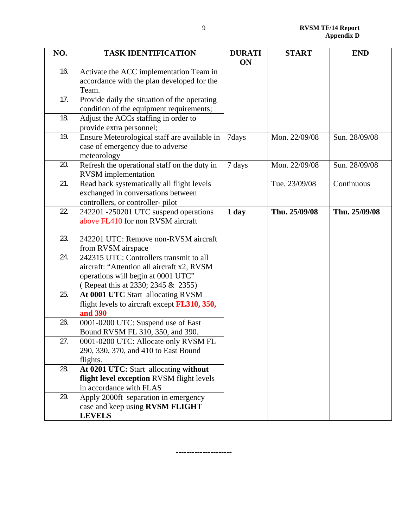| NO. | <b>TASK IDENTIFICATION</b>                                               | <b>DURATI</b> | <b>START</b>  | <b>END</b>    |
|-----|--------------------------------------------------------------------------|---------------|---------------|---------------|
|     |                                                                          | <b>ON</b>     |               |               |
| 16. | Activate the ACC implementation Team in                                  |               |               |               |
|     | accordance with the plan developed for the                               |               |               |               |
|     | Team.                                                                    |               |               |               |
| 17. | Provide daily the situation of the operating                             |               |               |               |
|     | condition of the equipment requirements;                                 |               |               |               |
| 18. | Adjust the ACCs staffing in order to                                     |               |               |               |
|     | provide extra personnel;                                                 |               |               |               |
| 19. | Ensure Meteorological staff are available in                             | 7days         | Mon. 22/09/08 | Sun. 28/09/08 |
|     | case of emergency due to adverse                                         |               |               |               |
|     | meteorology                                                              |               |               |               |
| 20. | Refresh the operational staff on the duty in                             | 7 days        | Mon. 22/09/08 | Sun. 28/09/08 |
|     | <b>RVSM</b> implementation                                               |               |               |               |
| 21. | Read back systematically all flight levels                               |               | Tue. 23/09/08 | Continuous    |
|     | exchanged in conversations between                                       |               |               |               |
|     | controllers, or controller-pilot                                         |               |               |               |
| 22. | 242201 -250201 UTC suspend operations                                    | 1 day         | Thu. 25/09/08 | Thu. 25/09/08 |
|     | above FL410 for non RVSM aircraft                                        |               |               |               |
| 23. |                                                                          |               |               |               |
|     | 242201 UTC: Remove non-RVSM aircraft                                     |               |               |               |
| 24. | from RVSM airspace<br>242315 UTC: Controllers transmit to all            |               |               |               |
|     |                                                                          |               |               |               |
|     | aircraft: "Attention all aircraft x2, RVSM                               |               |               |               |
|     | operations will begin at 0001 UTC"<br>(Repeat this at 2330; 2345 & 2355) |               |               |               |
| 25. | At 0001 UTC Start allocating RVSM                                        |               |               |               |
|     | flight levels to aircraft except <b>FL310</b> , 350,                     |               |               |               |
|     | and 390                                                                  |               |               |               |
| 26. | 0001-0200 UTC: Suspend use of East                                       |               |               |               |
|     | Bound RVSM FL 310, 350, and 390.                                         |               |               |               |
| 27. | 0001-0200 UTC: Allocate only RVSM FL                                     |               |               |               |
|     | 290, 330, 370, and 410 to East Bound                                     |               |               |               |
|     | flights.                                                                 |               |               |               |
| 28. | At 0201 UTC: Start allocating without                                    |               |               |               |
|     | flight level exception RVSM flight levels                                |               |               |               |
|     | in accordance with FLAS                                                  |               |               |               |
| 29. | Apply 2000ft separation in emergency                                     |               |               |               |
|     | case and keep using RVSM FLIGHT                                          |               |               |               |
|     | <b>LEVELS</b>                                                            |               |               |               |

---------------------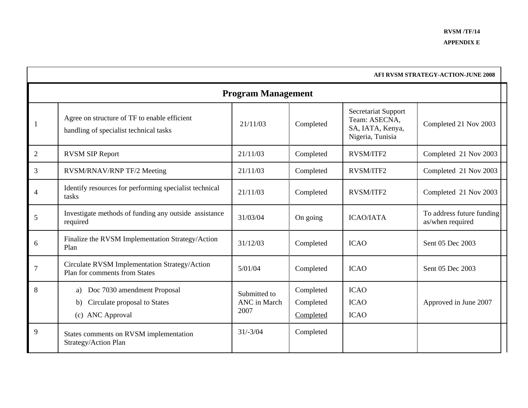|                | AFI RVSM STRATEGY-ACTION-JUNE 2008                                                          |                                      |                                     |                                                                                     |                                               |  |  |
|----------------|---------------------------------------------------------------------------------------------|--------------------------------------|-------------------------------------|-------------------------------------------------------------------------------------|-----------------------------------------------|--|--|
|                | <b>Program Management</b>                                                                   |                                      |                                     |                                                                                     |                                               |  |  |
|                | Agree on structure of TF to enable efficient<br>handling of specialist technical tasks      | 21/11/03                             | Completed                           | <b>Secretariat Support</b><br>Team: ASECNA,<br>SA, IATA, Kenya,<br>Nigeria, Tunisia | Completed 21 Nov 2003                         |  |  |
| $\overline{2}$ | <b>RVSM SIP Report</b>                                                                      | 21/11/03                             | Completed                           | <b>RVSM/ITF2</b>                                                                    | Completed 21 Nov 2003                         |  |  |
| 3              | RVSM/RNAV/RNP TF/2 Meeting                                                                  | 21/11/03                             | Completed                           | RVSM/ITF2                                                                           | Completed 21 Nov 2003                         |  |  |
| $\overline{4}$ | Identify resources for performing specialist technical<br>tasks                             | 21/11/03                             | Completed                           | <b>RVSM/ITF2</b>                                                                    | Completed 21 Nov 2003                         |  |  |
| 5              | Investigate methods of funding any outside assistance<br>required                           | 31/03/04                             | On going                            | <b>ICAO/IATA</b>                                                                    | To address future funding<br>as/when required |  |  |
| 6              | Finalize the RVSM Implementation Strategy/Action<br>Plan                                    | 31/12/03                             | Completed                           | <b>ICAO</b>                                                                         | Sent 05 Dec 2003                              |  |  |
| $\overline{7}$ | Circulate RVSM Implementation Strategy/Action<br>Plan for comments from States              | 5/01/04                              | Completed                           | <b>ICAO</b>                                                                         | Sent 05 Dec 2003                              |  |  |
| 8              | Doc 7030 amendment Proposal<br>a)<br>Circulate proposal to States<br>b)<br>(c) ANC Approval | Submitted to<br>ANC in March<br>2007 | Completed<br>Completed<br>Completed | <b>ICAO</b><br><b>ICAO</b><br><b>ICAO</b>                                           | Approved in June 2007                         |  |  |
| 9              | States comments on RVSM implementation<br>Strategy/Action Plan                              | $31/-3/04$                           | Completed                           |                                                                                     |                                               |  |  |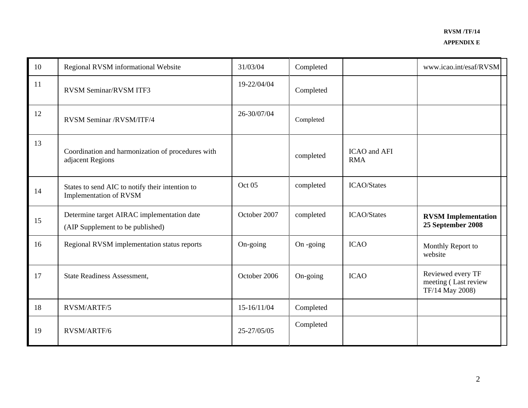| 10 | Regional RVSM informational Website                                            | 31/03/04     | Completed |                                   | www.icao.int/esaf/RVSM                                       |
|----|--------------------------------------------------------------------------------|--------------|-----------|-----------------------------------|--------------------------------------------------------------|
| 11 | RVSM Seminar/RVSM ITF3                                                         | 19-22/04/04  | Completed |                                   |                                                              |
| 12 | RVSM Seminar /RVSM/ITF/4                                                       | 26-30/07/04  | Completed |                                   |                                                              |
| 13 | Coordination and harmonization of procedures with<br>adjacent Regions          |              | completed | <b>ICAO</b> and AFI<br><b>RMA</b> |                                                              |
| 14 | States to send AIC to notify their intention to<br>Implementation of RVSM      | Oct 05       | completed | <b>ICAO/States</b>                |                                                              |
| 15 | Determine target AIRAC implementation date<br>(AIP Supplement to be published) | October 2007 | completed | <b>ICAO/States</b>                | <b>RVSM</b> Implementation<br>25 September 2008              |
| 16 | Regional RVSM implementation status reports                                    | On-going     | On -going | <b>ICAO</b>                       | Monthly Report to<br>website                                 |
| 17 | <b>State Readiness Assessment,</b>                                             | October 2006 | On-going  | <b>ICAO</b>                       | Reviewed every TF<br>meeting (Last review<br>TF/14 May 2008) |
| 18 | RVSM/ARTF/5                                                                    | 15-16/11/04  | Completed |                                   |                                                              |
| 19 | RVSM/ARTF/6                                                                    | 25-27/05/05  | Completed |                                   |                                                              |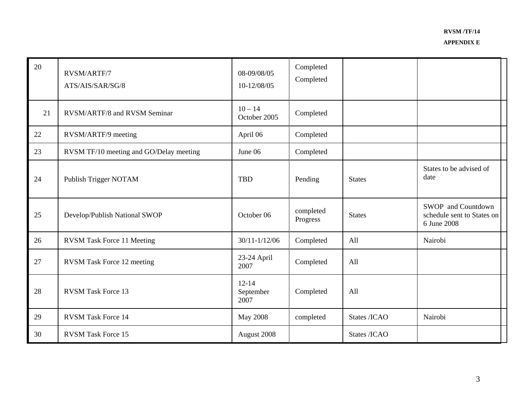| 20 | RVSM/ARTF/7<br>ATS/AIS/SAR/SG/8         | 08-09/08/05<br>10-12/08/05     | Completed<br>Completed |               |                                                                 |
|----|-----------------------------------------|--------------------------------|------------------------|---------------|-----------------------------------------------------------------|
| 21 | RVSM/ARTF/8 and RVSM Seminar            | $10 - 14$<br>October 2005      | Completed              |               |                                                                 |
| 22 | RVSM/ARTF/9 meeting                     | April 06                       | Completed              |               |                                                                 |
| 23 | RVSM TF/10 meeting and GO/Delay meeting | June 06                        | Completed              |               |                                                                 |
| 24 | Publish Trigger NOTAM                   | <b>TBD</b>                     | Pending                | <b>States</b> | States to be advised of<br>date                                 |
| 25 | Develop/Publish National SWOP           | October 06                     | completed<br>Progress  | <b>States</b> | SWOP and Countdown<br>schedule sent to States on<br>6 June 2008 |
| 26 | <b>RVSM Task Force 11 Meeting</b>       | $30/11 - 1/12/06$              | Completed              | All           | Nairobi                                                         |
| 27 | <b>RVSM</b> Task Force 12 meeting       | 23-24 April<br>2007            | Completed              | All           |                                                                 |
| 28 | <b>RVSM Task Force 13</b>               | $12 - 14$<br>September<br>2007 | Completed              | All           |                                                                 |
| 29 | <b>RVSM Task Force 14</b>               | <b>May 2008</b>                | completed              | States /ICAO  | Nairobi                                                         |
| 30 | <b>RVSM Task Force 15</b>               | August 2008                    |                        | States /ICAO  |                                                                 |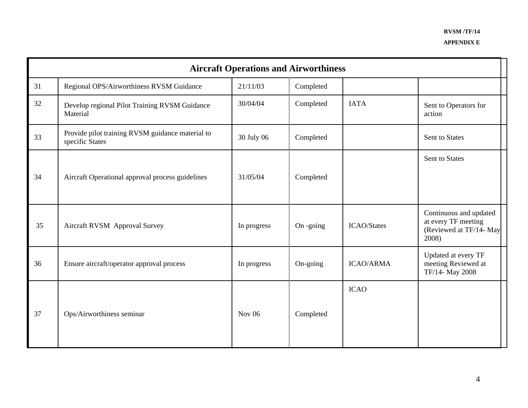|    | <b>Aircraft Operations and Airworthiness</b>                        |             |           |                    |                                                                                   |  |  |
|----|---------------------------------------------------------------------|-------------|-----------|--------------------|-----------------------------------------------------------------------------------|--|--|
| 31 | Regional OPS/Airworthiness RVSM Guidance                            | 21/11/03    | Completed |                    |                                                                                   |  |  |
| 32 | Develop regional Pilot Training RVSM Guidance<br>Material           | 30/04/04    | Completed | <b>IATA</b>        | Sent to Operators for<br>action                                                   |  |  |
| 33 | Provide pilot training RVSM guidance material to<br>specific States | 30 July 06  | Completed |                    | Sent to States                                                                    |  |  |
| 34 | Aircraft Operational approval process guidelines                    | 31/05/04    | Completed |                    | Sent to States                                                                    |  |  |
| 35 | <b>Aircraft RVSM Approval Survey</b>                                | In progress | On -going | <b>ICAO/States</b> | Continuous and updated<br>at every TF meeting<br>(Reviewed at TF/14- May<br>2008) |  |  |
| 36 | Ensure aircraft/operator approval process                           | In progress | On-going  | <b>ICAO/ARMA</b>   | Updated at every TF<br>meeting Reviewed at<br>TF/14- May 2008                     |  |  |
| 37 | Ops/Airworthiness seminar                                           | Nov $06$    | Completed | <b>ICAO</b>        |                                                                                   |  |  |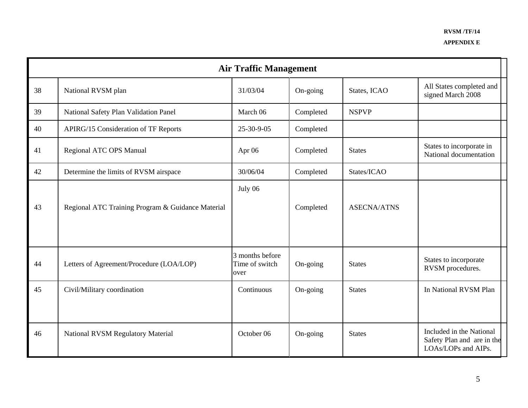|    | <b>Air Traffic Management</b>                     |                                           |           |                    |                                                                               |  |
|----|---------------------------------------------------|-------------------------------------------|-----------|--------------------|-------------------------------------------------------------------------------|--|
| 38 | National RVSM plan                                | 31/03/04                                  | On-going  | States, ICAO       | All States completed and<br>signed March 2008                                 |  |
| 39 | National Safety Plan Validation Panel             | March 06                                  | Completed | <b>NSPVP</b>       |                                                                               |  |
| 40 | <b>APIRG/15 Consideration of TF Reports</b>       | 25-30-9-05                                | Completed |                    |                                                                               |  |
| 41 | Regional ATC OPS Manual                           | Apr 06                                    | Completed | <b>States</b>      | States to incorporate in<br>National documentation                            |  |
| 42 | Determine the limits of RVSM airspace             | 30/06/04                                  | Completed | States/ICAO        |                                                                               |  |
| 43 | Regional ATC Training Program & Guidance Material | July 06                                   | Completed | <b>ASECNA/ATNS</b> |                                                                               |  |
| 44 | Letters of Agreement/Procedure (LOA/LOP)          | 3 months before<br>Time of switch<br>over | On-going  | <b>States</b>      | States to incorporate<br>RVSM procedures.                                     |  |
| 45 | Civil/Military coordination                       | Continuous                                | On-going  | <b>States</b>      | In National RVSM Plan                                                         |  |
| 46 | <b>National RVSM Regulatory Material</b>          | October 06                                | On-going  | <b>States</b>      | Included in the National<br>Safety Plan and are in the<br>LOAs/LOPs and AIPs. |  |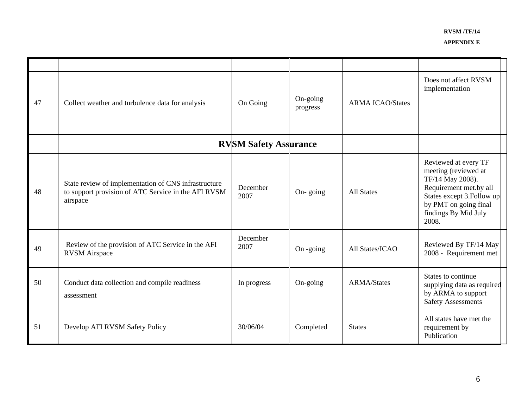**APPENDIX E** 

| 47 | Collect weather and turbulence data for analysis                                                                        | On Going                     | On-going<br>progress | <b>ARMA ICAO/States</b> | Does not affect RVSM<br>implementation                                                                                                                                             |
|----|-------------------------------------------------------------------------------------------------------------------------|------------------------------|----------------------|-------------------------|------------------------------------------------------------------------------------------------------------------------------------------------------------------------------------|
|    |                                                                                                                         | <b>RVSM Safety Assurance</b> |                      |                         |                                                                                                                                                                                    |
| 48 | State review of implementation of CNS infrastructure<br>to support provision of ATC Service in the AFI RVSM<br>airspace | December<br>2007             | On-going             | <b>All States</b>       | Reviewed at every TF<br>meeting (reviewed at<br>TF/14 May 2008).<br>Requirement met.by all<br>States except 3. Follow up<br>by PMT on going final<br>findings By Mid July<br>2008. |
| 49 | Review of the provision of ATC Service in the AFI<br><b>RVSM</b> Airspace                                               | December<br>2007             | On -going            | All States/ICAO         | Reviewed By TF/14 May<br>2008 - Requirement met                                                                                                                                    |
| 50 | Conduct data collection and compile readiness<br>assessment                                                             | In progress                  | On-going             | <b>ARMA/States</b>      | States to continue<br>supplying data as required<br>by ARMA to support<br><b>Safety Assessments</b>                                                                                |
| 51 | Develop AFI RVSM Safety Policy                                                                                          | 30/06/04                     | Completed            | <b>States</b>           | All states have met the<br>requirement by<br>Publication                                                                                                                           |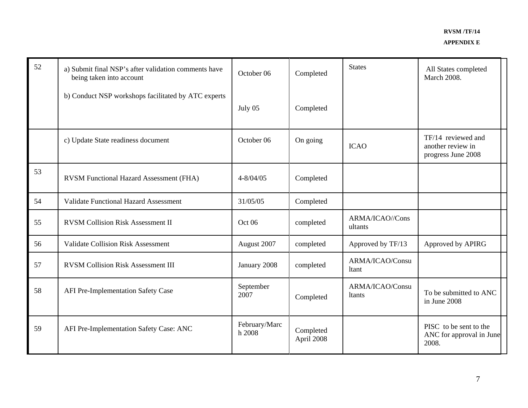| 52 | a) Submit final NSP's after validation comments have<br>being taken into account | October 06              | Completed               | <b>States</b>              | All States completed<br>March 2008.                           |
|----|----------------------------------------------------------------------------------|-------------------------|-------------------------|----------------------------|---------------------------------------------------------------|
|    | b) Conduct NSP workshops facilitated by ATC experts                              | July 05                 | Completed               |                            |                                                               |
|    | c) Update State readiness document                                               | October 06              | On going                | <b>ICAO</b>                | TF/14 reviewed and<br>another review in<br>progress June 2008 |
| 53 | RVSM Functional Hazard Assessment (FHA)                                          | $4 - 8/04/05$           | Completed               |                            |                                                               |
| 54 | <b>Validate Functional Hazard Assessment</b>                                     | 31/05/05                | Completed               |                            |                                                               |
| 55 | <b>RVSM Collision Risk Assessment II</b>                                         | Oct 06                  | completed               | ARMA/ICAO//Cons<br>ultants |                                                               |
| 56 | <b>Validate Collision Risk Assessment</b>                                        | August 2007             | completed               | Approved by TF/13          | Approved by APIRG                                             |
| 57 | <b>RVSM Collision Risk Assessment III</b>                                        | January 2008            | completed               | ARMA/ICAO/Consu<br>ltant   |                                                               |
| 58 | AFI Pre-Implementation Safety Case                                               | September<br>2007       | Completed               | ARMA/ICAO/Consu<br>ltants  | To be submitted to ANC<br>in June 2008                        |
| 59 | AFI Pre-Implementation Safety Case: ANC                                          | February/Marc<br>h 2008 | Completed<br>April 2008 |                            | PISC to be sent to the<br>ANC for approval in June<br>2008.   |